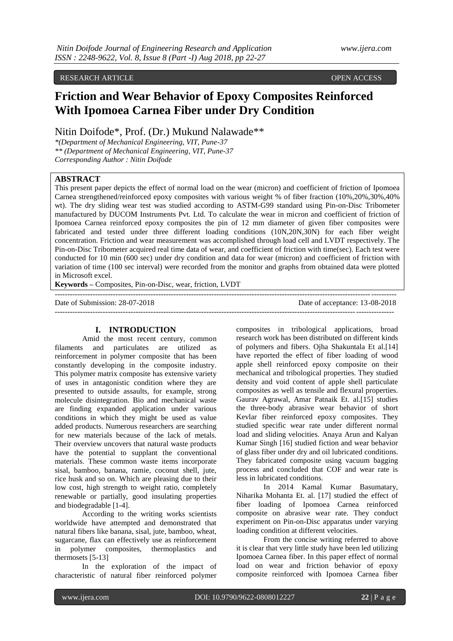# RESEARCH ARTICLE OPEN ACCESS

# **Friction and Wear Behavior of Epoxy Composites Reinforced With Ipomoea Carnea Fiber under Dry Condition**

Nitin Doifode\*, Prof. (Dr.) Mukund Nalawade\*\*

*\*(Department of Mechanical Engineering, VIT, Pune-37 \*\* (Department of Mechanical Engineering, VIT, Pune-37 Corresponding Author : Nitin Doifode*

# **ABSTRACT**

This present paper depicts the effect of normal load on the wear (micron) and coefficient of friction of Ipomoea Carnea strengthened/reinforced epoxy composites with various weight % of fiber fraction (10%,20%,30%,40% wt). The dry sliding wear test was studied according to ASTM-G99 standard using Pin-on-Disc Tribometer manufactured by DUCOM Instruments Pvt. Ltd. To calculate the wear in micron and coefficient of friction of Ipomoea Carnea reinforced epoxy composites the pin of 12 mm diameter of given fiber composites were fabricated and tested under three different loading conditions (10N,20N,30N) for each fiber weight concentration. Friction and wear measurement was accomplished through load cell and LVDT respectively. The Pin-on-Disc Tribometer acquired real time data of wear, and coefficient of friction with time(sec). Each test were conducted for 10 min (600 sec) under dry condition and data for wear (micron) and coefficient of friction with variation of time (100 sec interval) were recorded from the monitor and graphs from obtained data were plotted in Microsoft excel.

**Keywords –** Composites, Pin-on-Disc, wear, friction, LVDT

--------------------------------------------------------------------------------------------------------------------------------------

--------------------------------------------------------------------------------------------------------------------------------------- Date of Submission: 28-07-2018 Date of acceptance: 13-08-2018

## **I. INTRODUCTION**

Amid the most recent century, common filaments and particulates are utilized as reinforcement in polymer composite that has been constantly developing in the composite industry. This polymer matrix composite has extensive variety of uses in antagonistic condition where they are presented to outside assaults, for example, strong molecule disintegration. Bio and mechanical waste are finding expanded application under various conditions in which they might be used as value added products. Numerous researchers are searching for new materials because of the lack of metals. Their overview uncovers that natural waste products have the potential to supplant the conventional materials. These common waste items incorporate sisal, bamboo, banana, ramie, coconut shell, jute, rice husk and so on. Which are pleasing due to their low cost, high strength to weight ratio, completely renewable or partially, good insulating properties and biodegradable [1-4].

According to the writing works scientists worldwide have attempted and demonstrated that natural fibers like banana, sisal, jute, bamboo, wheat, sugarcane, flax can effectively use as reinforcement in polymer composites, thermoplastics and thermosets [5-13]

In the exploration of the impact of characteristic of natural fiber reinforced polymer

composites in tribological applications, broad research work has been distributed on different kinds of polymers and fibers. Ojha Shakuntala Et al.[14] have reported the effect of fiber loading of wood apple shell reinforced epoxy composite on their mechanical and tribological properties. They studied density and void content of apple shell particulate composites as well as tensile and flexural properties. Gaurav Agrawal, Amar Patnaik Et. al.[15] studies the three-body abrasive wear behavior of short Kevlar fiber reinforced epoxy composites. They studied specific wear rate under different normal load and sliding velocities. Anaya Arun and Kalyan Kumar Singh [16] studied fiction and wear behavior of glass fiber under dry and oil lubricated conditions. They fabricated composite using vacuum bagging process and concluded that COF and wear rate is less in lubricated conditions.

In 2014 Kamal Kumar Basumatary, Niharika Mohanta Et. al. [17] studied the effect of fiber loading of Ipomoea Carnea reinforced composite on abrasive wear rate. They conduct experiment on Pin-on-Disc apparatus under varying loading condition at different velocities.

From the concise writing referred to above it is clear that very little study have been led utilizing Ipomoea Carnea fiber. In this paper effect of normal load on wear and friction behavior of epoxy composite reinforced with Ipomoea Carnea fiber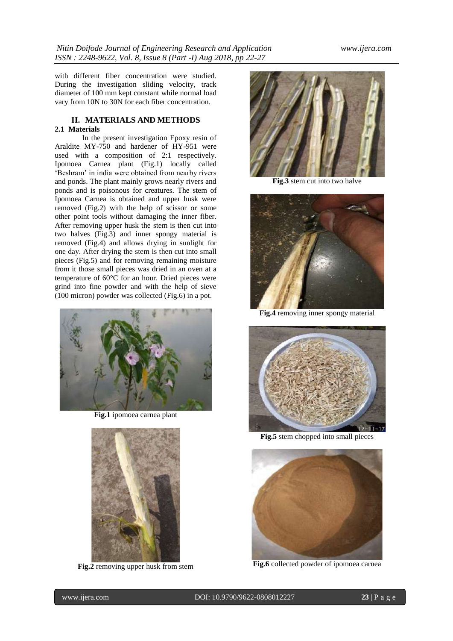with different fiber concentration were studied. During the investigation sliding velocity, track diameter of 100 mm kept constant while normal load vary from 10N to 30N for each fiber concentration.

### **II. MATERIALS AND METHODS 2.1 Materials**

In the present investigation Epoxy resin of Araldite MY-750 and hardener of HY-951 were used with a composition of 2:1 respectively. Ipomoea Carnea plant (Fig.1) locally called 'Beshram' in india were obtained from nearby rivers and ponds. The plant mainly grows nearly rivers and ponds and is poisonous for creatures. The stem of Ipomoea Carnea is obtained and upper husk were removed (Fig.2) with the help of scissor or some other point tools without damaging the inner fiber. After removing upper husk the stem is then cut into two halves (Fig.3) and inner spongy material is removed (Fig.4) and allows drying in sunlight for one day. After drying the stem is then cut into small pieces (Fig.5) and for removing remaining moisture from it those small pieces was dried in an oven at a temperature of 60°C for an hour. Dried pieces were grind into fine powder and with the help of sieve (100 micron) powder was collected (Fig.6) in a pot.



**Fig.1** ipomoea carnea plant



**Fig.2** removing upper husk from stem



**Fig.3** stem cut into two halve



**Fig.4** removing inner spongy material



**Fig.5** stem chopped into small pieces



**Fig.6** collected powder of ipomoea carnea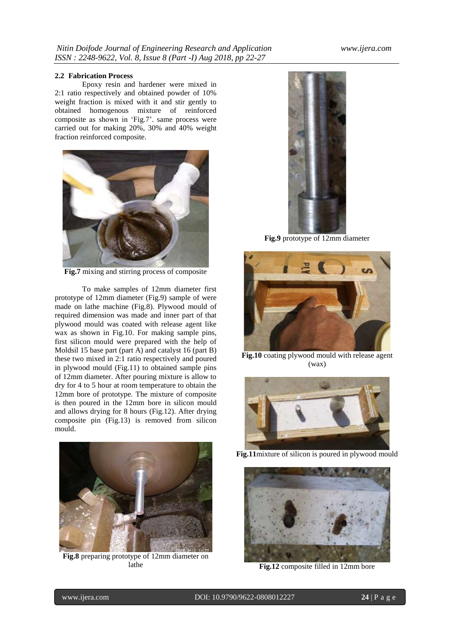# **2.2 Fabrication Process**

Epoxy resin and hardener were mixed in 2:1 ratio respectively and obtained powder of 10% weight fraction is mixed with it and stir gently to obtained homogenous mixture of reinforced composite as shown in 'Fig.7'. same process were carried out for making 20%, 30% and 40% weight fraction reinforced composite.



**Fig.7** mixing and stirring process of composite

To make samples of 12mm diameter first prototype of 12mm diameter (Fig.9) sample of were made on lathe machine (Fig.8). Plywood mould of required dimension was made and inner part of that plywood mould was coated with release agent like wax as shown in Fig.10. For making sample pins, first silicon mould were prepared with the help of Moldsil 15 base part (part A) and catalyst 16 (part B) these two mixed in 2:1 ratio respectively and poured in plywood mould (Fig.11) to obtained sample pins of 12mm diameter. After pouring mixture is allow to dry for 4 to 5 hour at room temperature to obtain the 12mm bore of prototype. The mixture of composite is then poured in the 12mm bore in silicon mould and allows drying for 8 hours (Fig.12). After drying composite pin (Fig.13) is removed from silicon mould.



**Fig.8** preparing prototype of 12mm diameter on lathe



**Fig.9** prototype of 12mm diameter



**Fig.10** coating plywood mould with release agent (wax)



**Fig.11**mixture of silicon is poured in plywood mould



**Fig.12** composite filled in 12mm bore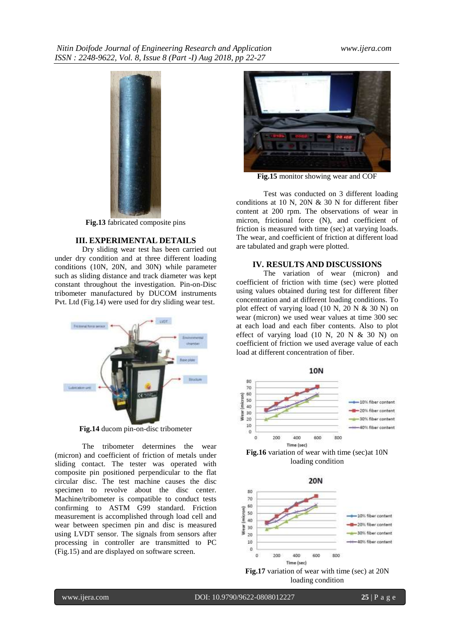

**Fig.13** fabricated composite pins

### **III. EXPERIMENTAL DETAILS**

Dry sliding wear test has been carried out under dry condition and at three different loading conditions (10N, 20N, and 30N) while parameter such as sliding distance and track diameter was kept constant throughout the investigation. Pin-on-Disc tribometer manufactured by DUCOM instruments Pvt. Ltd (Fig.14) were used for dry sliding wear test.



**Fig.14** ducom pin-on-disc tribometer

The tribometer determines the wear (micron) and coefficient of friction of metals under sliding contact. The tester was operated with composite pin positioned perpendicular to the flat circular disc. The test machine causes the disc specimen to revolve about the disc center. Machine/tribometer is compatible to conduct tests confirming to ASTM G99 standard. Friction measurement is accomplished through load cell and wear between specimen pin and disc is measured using LVDT sensor. The signals from sensors after processing in controller are transmitted to PC (Fig.15) and are displayed on software screen.



**Fig.15** monitor showing wear and COF

Test was conducted on 3 different loading conditions at 10 N, 20N  $&$  30 N for different fiber content at 200 rpm. The observations of wear in micron, frictional force (N), and coefficient of friction is measured with time (sec) at varying loads. The wear, and coefficient of friction at different load are tabulated and graph were plotted.

### **IV. RESULTS AND DISCUSSIONS**

The variation of wear (micron) and coefficient of friction with time (sec) were plotted using values obtained during test for different fiber concentration and at different loading conditions. To plot effect of varying load  $(10 \text{ N}, 20 \text{ N} \& 30 \text{ N})$  on wear (micron) we used wear values at time 300 sec at each load and each fiber contents. Also to plot effect of varying load  $(10 \text{ N}, 20 \text{ N} \& 30 \text{ N})$  on coefficient of friction we used average value of each load at different concentration of fiber.





loading condition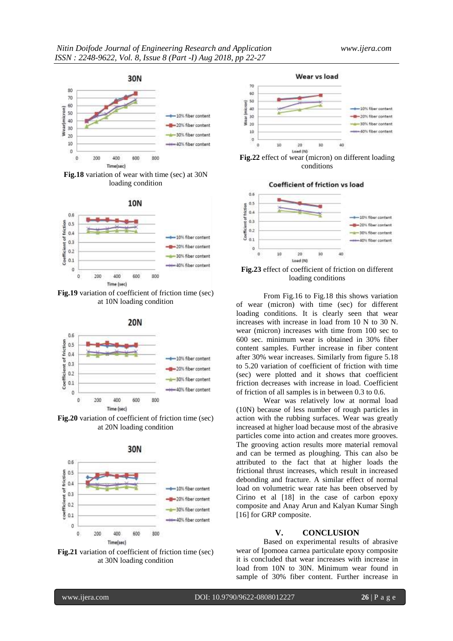

**Fig.18** variation of wear with time (sec) at 30N loading condition



**Fig.19** variation of coefficient of friction time (sec) at 10N loading condition



**Fig.20** variation of coefficient of friction time (sec) at 20N loading condition







**Fig.22** effect of wear (micron) on different loading conditions



**Fig.23** effect of coefficient of friction on different loading conditions

From Fig.16 to Fig.18 this shows variation of wear (micron) with time (sec) for different loading conditions. It is clearly seen that wear increases with increase in load from 10 N to 30 N. wear (micron) increases with time from 100 sec to 600 sec. minimum wear is obtained in 30% fiber content samples. Further increase in fiber content after 30% wear increases. Similarly from figure 5.18 to 5.20 variation of coefficient of friction with time (sec) were plotted and it shows that coefficient friction decreases with increase in load. Coefficient of friction of all samples is in between 0.3 to 0.6.

Wear was relatively low at normal load (10N) because of less number of rough particles in action with the rubbing surfaces. Wear was greatly increased at higher load because most of the abrasive particles come into action and creates more grooves. The grooving action results more material removal and can be termed as ploughing. This can also be attributed to the fact that at higher loads the frictional thrust increases, which result in increased debonding and fracture. A similar effect of normal load on volumetric wear rate has been observed by Cirino et al [18] in the case of carbon epoxy composite and Anay Arun and Kalyan Kumar Singh [16] for GRP composite.

## **V. CONCLUSION**

Based on experimental results of abrasive wear of Ipomoea carnea particulate epoxy composite it is concluded that wear increases with increase in load from 10N to 30N. Minimum wear found in sample of 30% fiber content. Further increase in